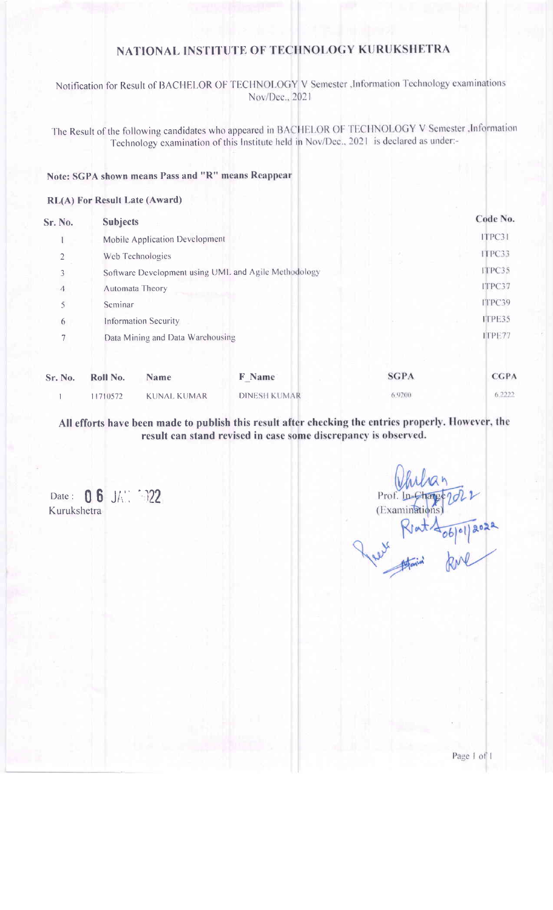Notification for Result of BACHELOR OF TECHNOLOGY V Semester , Information Technology examinations Nov/Dec., 2021

The Result of the following candidates who appeared in BACHELOR OF TECHNOLOGY V Semester , Information Technology examination of this Institute held in Nov/Dec., 2021 is declared as under:-

#### Note: SGPA shown means Pass and "R" means Reappear

#### RL(A) For Result Late (Award)

| Sr. No.         | <b>Subjects</b>                                      |                     |             | Code No.    |
|-----------------|------------------------------------------------------|---------------------|-------------|-------------|
|                 | Mobile Application Development                       |                     |             | ITPC31      |
| $\overline{2}$  | Web Technologies                                     |                     |             | ITPC33      |
| 3               | Software Development using UML and Agile Methodology |                     |             | ITPC35      |
| $\triangleleft$ | Automata Theory                                      |                     |             | ITPC37      |
| 5               | Seminar                                              |                     |             | ITPC39      |
| 6               | <b>Information Security</b>                          |                     |             | ITPE35      |
| $\overline{7}$  | Data Mining and Data Warehousing                     |                     |             | ITPE77      |
| Sr. No.         | Roll No.<br><b>Name</b>                              | F Name              | <b>SGPA</b> | <b>CGPA</b> |
|                 | <b>KUNAL KUMAR</b><br>1710572                        | <b>DINESH KUMAR</b> | 6.9200      | 6.2222      |

All efforts have been made to publish this result after checking the entries properly. However, the result can stand revised in case some discrepancy is observed.

Date: 06 JA: 022 Kurukshetra

Prof. In (Examinati Rest Rent 406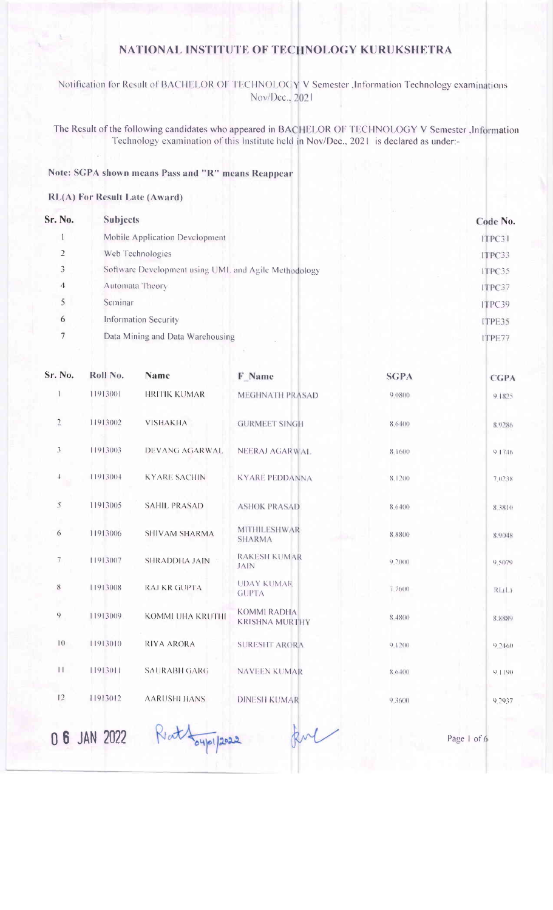Notification for Result of BACHELOR OF TECHNOLOGY V Semester , Information Technology examinations Nov/Dec., 2021

The Result of the following candidates who appeared in BACHELOR OF TECHNOLOGY V Semester , Information Technology examination of this Institute held in Nov/Dec., 2021 is declared as under:-

#### Note: SGPA shown means Pass and "R" means Reappear

#### RL(A) For Result Late (Award)

| Sr. No.        | <b>Subjects</b>                                      | Code No. |
|----------------|------------------------------------------------------|----------|
|                | Mobile Application Development                       | ITPC31   |
| $\overline{2}$ | Web Technologies                                     | ITPC33   |
| 3              | Software Development using UML and Agile Methodology | ITPC35   |
| $\Lambda$      | Automata Theory                                      | ITPC37   |
| 5              | Seminar                                              | ITPC39   |
| 6              | Information Security                                 | ITPE35   |
|                | Data Mining and Data Warehousing                     | ITPE77   |

| Sr. No.        | Roll No.     | <b>Name</b>             | F Name                               | <b>SGPA</b> | <b>CGPA</b> |
|----------------|--------------|-------------------------|--------------------------------------|-------------|-------------|
| 1              | 11913001     | <b>HRITIK KUMAR</b>     | MEGHNATH PRASAD                      | 9.0800      | 9.1825      |
| $\overline{2}$ | 11913002     | <b>VISHAKHA</b>         | <b>GURMEET SINGH</b>                 | 8.6400      | 8.9286      |
| 3              | 11913003     | DEVANG AGARWAL          | NEERAJ AGARWAL                       | 8.1600      | 91746       |
| 4              | 11913004     | <b>KYARE SACHIN</b>     | <b>KYARE PEDDANNA</b>                | 8.1200      | 7.0238      |
| $\bar{5}$      | 11913005     | <b>SAHIL PRASAD</b>     | <b>ASHOK PRASAD</b>                  | 8.6400      | 8.3810      |
| 6              | 11913006     | <b>SHIVAM SHARMA</b>    | <b>MITHILESHWAR</b><br><b>SHARMA</b> | 8.8800      | 8.9048      |
| 7              | 11913007     | <b>SHRADDHA JAIN</b>    | <b>RAKESH KUMAR</b><br>JAIN          | 9.2000      | 9.5079      |
| $8\,$          | 11913008     | <b>RAJ KR GUPTA</b>     | <b>UDAY KUMAR</b><br><b>GUPTA</b>    | 7 7600      | R(LL)       |
| $\Omega$       | 11913009     | <b>KOMMI UHA KRUTHI</b> | KOMMI RADHA<br><b>KRISHNA MURTHY</b> | 8.4800      | 8.8889      |
| $ 0\rangle$    | 11913010     | <b>RIYA ARORA</b>       | <b>SURESHT ARORA</b>                 | $9 + 200$   | 9.2160      |
| П              | 11913011     | <b>SAURABH GARG</b>     | <b>NAVEEN KUMAR</b>                  | 8 6400      | $9 + 190$   |
| 12             | 11913012     | <b>AARUSHI HANS</b>     | <b>DINESH KUMAR</b>                  | 9.3600      | 9.2937      |
|                | 0 6 JAN 2022 | 04/01/2022              |                                      |             | Page 1 of 6 |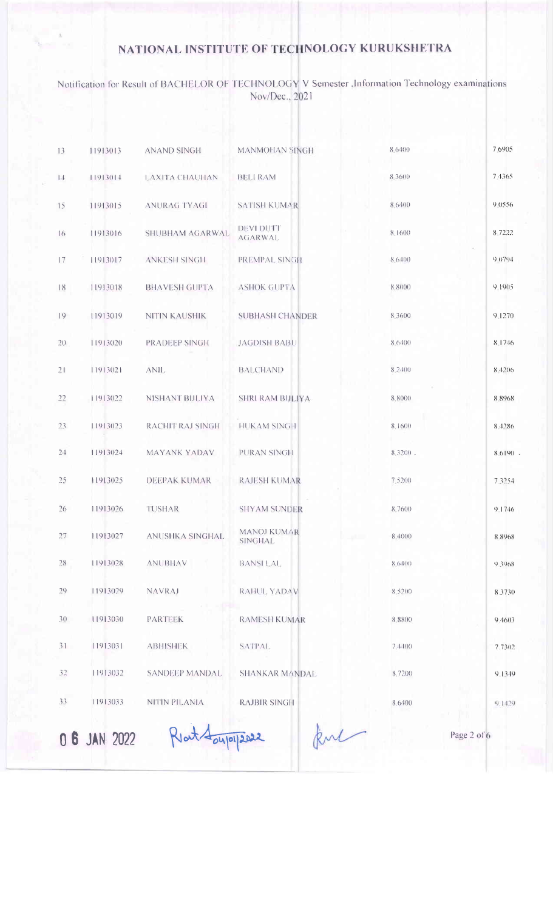| 13  | 11913013     | <b>ANAND SINGH</b>     | <b>MANMOHAN SINGH</b>              | 8,6400     | 7.6905      |
|-----|--------------|------------------------|------------------------------------|------------|-------------|
| 14  | 11913014     | <b>LAXITA CHAUHAN</b>  | <b>BELI RAM</b>                    | 8.3600     | 7.4365      |
| 15  | 11913015     | <b>ANURAG TYAGI</b>    | <b>SATISH KUMAR</b>                | 8.6400     | 9 0556      |
| 16  | 11913016     | SHUBHAM AGARWAL        | <b>DEVI DUTT</b><br><b>AGARWAL</b> | 8.1600     | 8 7222      |
| 17  | 11913017     | <b>ANKESH SINGH</b>    | PREMPAL SINGH                      | 8.6400     | 9 0 7 9 4   |
| 18  | 11913018     | <b>BHAVESH GUPTA</b>   | <b>ASHOK GUPTA</b>                 | 8.8000     | 9.1905      |
| 9   | 11913019     | NITIN KAUSHIK          | <b>SUBHASH CHANDER</b>             | 8 3600     | 9.1270      |
| 20  | 11913020     | PRADEEP SINGH          | <b>JAGDISH BABU</b>                | 8.6400     | 8.1746      |
| 21  | 11913021     | ANIL.                  | <b>BALCHAND</b>                    | 8.2400     | 8.4206      |
| 22  | 11913022     | NISHANT BIJLIYA        | <b>SHRI RAM BIJLIYA</b>            | 8,8000     | 8 8 9 6 8   |
| 23  | 11913023     | RACHIT RAJ SINGH       | <b>HUKAM SINGH</b>                 | 8.1600     | 8.4286      |
| 24  | 11913024     | <b>MAYANK YADAV</b>    | PURAN SINGH                        | $8.3200$ , | 8.6190      |
| 25  | 11913025     | <b>DEEPAK KUMAR</b>    | <b>RAJESH KUMAR</b>                | 7,5200     | 7.3254      |
| 26  | 11913026     | TUSHAR                 | <b>SHYAM SUNDER</b>                | 8 7600     | 9.1746      |
| 27  | 11913027     | <b>ANUSHKA SINGHAL</b> | MANOJ KUMAR<br><b>SINGHAL</b>      | 8.4000     | 8.8968      |
| 28  | 11913028     | <b>ANUBHAV</b>         | <b>BANSILAL</b>                    | 8.6400     | 9.3968      |
| 29  | 11913029     | <b>NAVRAJ</b>          | RAHUL YADAV                        | 8.5200     | 8.3730      |
| 3() | 11913030     | <b>PARTEEK</b>         | <b>RAMESH KUMAR</b>                | 8.8800     | 9.4603      |
| 31  | 11913031     | <b>ABHISHEK</b>        | <b>SATPAL</b>                      | 7.4400     | 7.7302      |
| 32  | 11913032     | <b>SANDEEP MANDAL</b>  | <b>SHANKAR MANDAL</b>              | 8.7200     | 9.1349      |
| 33  | 11913033     | NITIN PILANIA          | <b>RAJBIR SINGH</b>                | 8.6400     | 9.1429      |
|     | 0 6 JAN 2022 | Ratt                   | 04/01/2022                         |            | Page 2 of 6 |
|     |              |                        |                                    |            |             |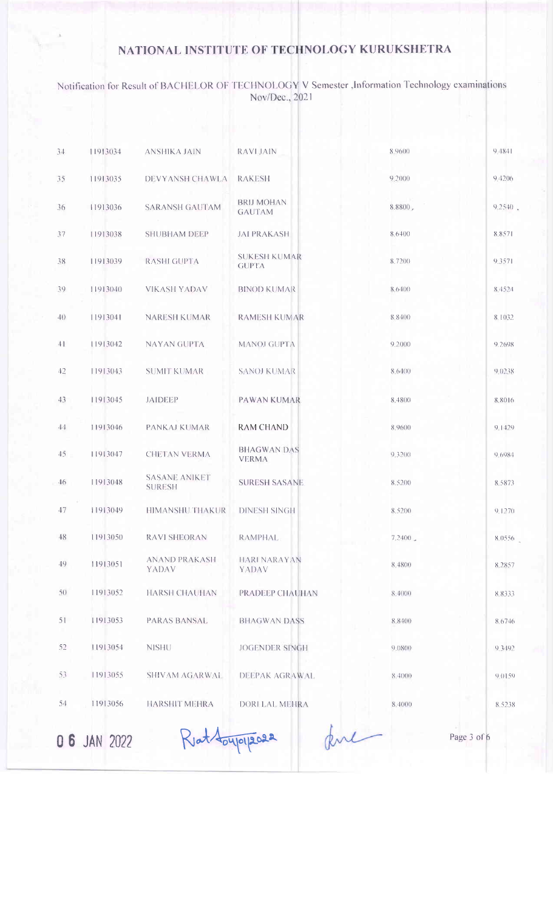| 34           | 11913034     | ANSHIKA JAIN                          | <b>RAVLJAIN</b>                     | 8.9600  | 9.4841      |
|--------------|--------------|---------------------------------------|-------------------------------------|---------|-------------|
| 35           | 11913035     | <b>DEVYANSH CHAWLA</b>                | <b>RAKESH</b>                       | 9.2000  | 9,4206      |
| 36           | 11913036     | <b>SARANSH GAUTAM</b>                 | <b>BRIJ MOHAN</b><br><b>GAUTAM</b>  | 8.8800, | 9.2540.     |
| 37           | 11913038     | <b>SHUBHAM DEEP</b>                   | <b>JAI PRAKASH</b>                  | 8.6400  | 8 8 5 7 1   |
| 38           | 11913039     | <b>RASHI GUPTA</b>                    | <b>SUKESH KUMAR</b><br><b>GUPTA</b> | 8.7200  | 9.3571      |
| 39           | 11913040     | <b>VIKASH YADAV</b>                   | <b>BINOD KUMAR</b>                  | 8.6400  | 8 452 1     |
| $40^{\circ}$ | 11913041     | <b>NARESH KUMAR</b>                   | <b>RAMESH KUMAR</b>                 | 8.8400  | 8.1032      |
| 41           | 11913042     | <b>NAYAN GUPTA</b>                    | MANOJ GUPTA                         | 92000   | 9.2698      |
| 42           | 11913043     | <b>SUMIT KUMAR</b>                    | <b>SANOJ KUMAR</b>                  | 8.6400  | 9.0238      |
| 43           | 11913045     | <b>JAIDEEP</b>                        | <b>PAWAN KUMAR</b>                  | 8.4800  | 8.8016      |
| 44           | 11913046     | <b>PANKAJ KUMAR</b>                   | <b>RAM CHAND</b>                    | 8.9600  | 9.1429      |
| 45           | 11913047     | CHETAN VERMA                          | <b>BHAGWAN DAS</b><br><b>VERMA</b>  | 9.3200  | 9.6984      |
| 46           | 11913048     | <b>SASANE ANIKET</b><br><b>SURESH</b> | <b>SURESH SASANE</b>                | 8.5200  | 8,5873      |
| 47           | 11913049     | HIMANSHU THAKUR                       | <b>DINESH SINGH</b>                 | 8,5200  | 9.1270      |
| 48           | 11913050     | RAVI SHEORAN                          | RAMPHAL                             | 7.2400  | 8.0556      |
| 49           | 11913051     | <b>ANAND PRAKASH</b><br><b>YADAV</b>  | <b>HARI NARAYAN</b><br><b>YADAV</b> | 8.4800  | 8.2857      |
| 5()          | 11913052     | HARSH CHAUHAN                         | <b>PRADEEP CHAUHAN</b>              | 8.4000  | 8.8333      |
| 51           | 11913053     | <b>PARAS BANSAL</b>                   | <b>BHAGWAN DASS</b>                 | 8.8400  | 8.6746      |
| 52           | 11913054     | <b>NISHU</b>                          | JOGENDER SINGH                      | 9.0800  | 9.3492      |
| 53           | 11913055     | SHIVAM AGARWAL                        | DEEPAK AGRAWAL                      | 8,4000  | 9.0159      |
| 54           | 11913056     | HARSHIT MEHRA                         | DORLLAL MEHRA                       | 8.4000  | 8.5238      |
|              | 0 6 JAN 2022 | Klat toyloll2022                      |                                     |         | Page 3 of 6 |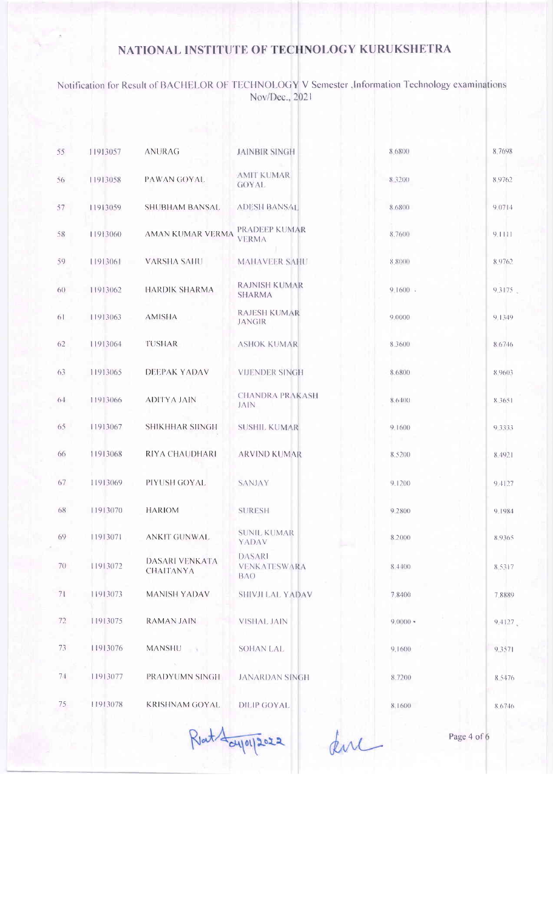| 55              | 11913057 | <b>ANURAG</b>                      | <b>JAINBIR SINGH</b>                        | 8.6800                  | 8.7698      |
|-----------------|----------|------------------------------------|---------------------------------------------|-------------------------|-------------|
| 56              | 11913058 | PAWAN GOYAL                        | <b>AMIT KUMAR</b><br><b>GOYAL</b>           | 8.3200                  | 8.9762      |
| 57              | 11913059 | <b>SHUBHAM BANSAL</b>              | <b>ADESH BANSAL</b>                         | 8.6800                  | 9.0714      |
| 58              | 11913060 | AMAN KUMAR VERMA                   | PRADEEP KUMAR<br><b>VERMA</b>               | 8.7600                  | 9.1111      |
| 59              | 11913061 | VARSHA SAHU                        | MAHAVEER SAHU                               | 8.8000                  | 8.9762      |
| 60 <sup>°</sup> | 11913062 | HARDIK SHARMA                      | <b>RAJNISH KUMAR</b><br><b>SHARMA</b>       | $91600$ .               | 9.3175      |
| 61              | 11913063 | <b>AMISHA</b>                      | <b>RAJESH KUMAR</b><br><b>JANGIR</b>        | 9.0000                  | 9.1349      |
| 62              | 11913064 | TUSHAR                             | <b>ASHOK KUMAR</b>                          | 8.3600                  | 8.6746      |
| 63              | 11913065 | DEEPAK YADAV                       | <b>VIJENDER SINGH</b>                       | 8.6800                  | 8.9603      |
| $6 - 1$         | 11913066 | ADITYA JAIN                        | <b>CHANDRA PRAKASH</b><br>JAIN              | 8.6400                  | 8.3651      |
| 65              | 11913067 | <b>SHIKHHAR SHNGH</b>              | <b>SUSHIL KUMAR</b>                         | 9.1600                  | 9.3333      |
| 66              | 11913068 | RIYA CHAUDHARI                     | <b>ARVIND KUMAR</b>                         | 8,5200                  | 8.4921      |
| 67              | 11913069 | PIYUSH GOYAL                       | <b>SANJAY</b>                               | 9.1200                  | 9 1127      |
| 68              | 11913070 | <b>HARIOM</b>                      | <b>SURESH</b>                               | 9.2800                  | 9.1984      |
| 69              | 11913071 | <b>ANKIT GUNWAL</b>                | <b>SUNIL KUMAR</b><br>YADAV                 | 8.2000                  | 8.9365      |
| 70              | 11913072 | DASARI VENKATA<br><b>CHAITANYA</b> | <b>DASARI</b><br>VENKATESWARA<br><b>BAO</b> | 8.44(00)                | 8.5317      |
| 71              | 11913073 | MANISH YADAV                       | <b>SHIVJI LAL YADAV</b>                     | 7.8400                  | 7,8889      |
| 72              | 11913075 | <b>RAMAN JAIN</b>                  | VISHAL JAIN                                 | $9(000)$ =              | 9.4127      |
| 73              | 11913076 | <b>MANSHU</b>                      | <b>SOHAN LAL</b>                            | 9.1600                  | 9.3571      |
| 7.1             | 11913077 | PRADYUMN SINGH                     | <b>JANARDAN SINGH</b>                       | 8.7200                  | 8.5476      |
| 75              | 11913078 | KRISHNAM GOYAL.                    | DILIP GOYAL                                 | 8.1600                  | 8.6746      |
|                 |          |                                    | $d\tau$ $d\mu$ $d\Omega$                    | $\phi_{\Lambda\Lambda}$ | Page 4 of 6 |
|                 |          |                                    |                                             |                         |             |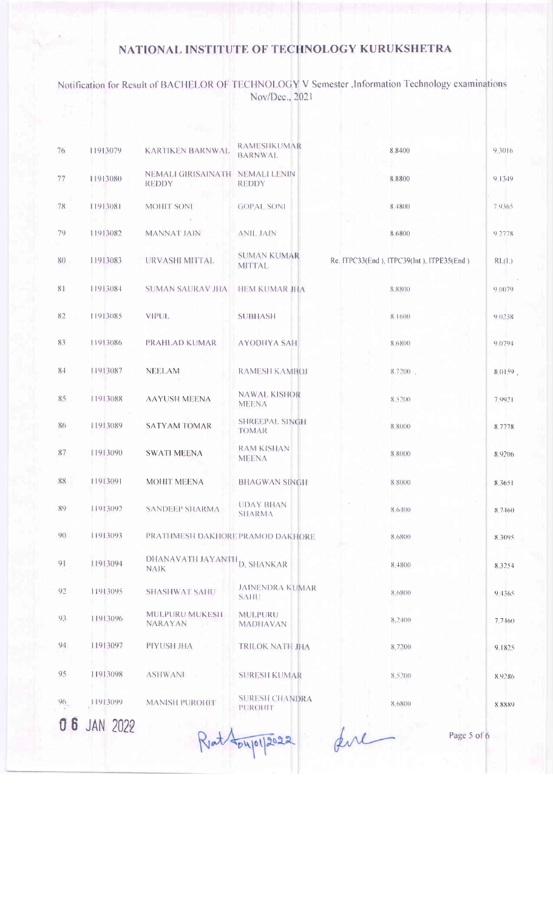| 76  | 11913079        | <b>KARTIKEN BARNWAL</b>                         | <b>RAMESHKUMAR</b><br><b>BARNWAL</b>  | 8.8400                                    | 9.3016    |
|-----|-----------------|-------------------------------------------------|---------------------------------------|-------------------------------------------|-----------|
| 77  | 11913080        | NEMALI GIRISAINATH NEMALI LENIN<br><b>REDDY</b> | <b>REDDY</b>                          | 8.8800                                    | 9.1349    |
| 78  | 11913081        | <b>MOHIT SONI</b>                               | <b>GOPAL SONI</b>                     | 8.4800                                    | 7.9365    |
| 79  | 11913082        | <b>MANNAT JAIN</b>                              | ANIL JAIN                             | 8.6800                                    | 9.2778    |
| 80  | 11913083        | URVASHI MITTAL                                  | <b>SUMAN KUMAR</b><br><b>MITTAL</b>   | Re. ITPC33(End), ITPC39(Int), ITPE35(End) | RL(L)     |
| 81  | 11913084        | SUMAN SAURAV JHA                                | <b>HEM KUMAR JHA</b>                  | 8 8800                                    | 9.0079    |
| 82  | 11913085        | VIPUL.                                          | <b>SUBHASH</b>                        | 8.1600                                    | 9.0238    |
| 83  | 11913086        | PRAHLAD KUMAR                                   | <b>AYODHYA SAH</b>                    | 8.6800                                    | 9 0 7 9 4 |
| 84  | 11913087        | <b>NEELAM</b>                                   | <b>RAMESH KAMBOJ</b>                  | 8.7200                                    | 8.0159    |
| 85  | 11913088        | <b>AAYUSH MEENA</b>                             | <b>NAWAL KISHOR</b><br><b>MEENA</b>   | 8.5200                                    | 7.9921    |
| 86  | 11913089        | <b>SATYAM TOMAR</b>                             | <b>SHREEPAL SINGH</b><br><b>TOMAR</b> | 8.8000                                    | 8.7778    |
| 87  | 11913090        | <b>SWATI MEENA</b>                              | <b>RAM KISHAN</b><br>MEENA            | 8.8000                                    | 8.9206    |
| 88  | 11913091        | MOHIT MEENA                                     | <b>BHAGWAN SINGH</b>                  | 8.8000                                    | 8.3651    |
| 89  | 11913092        | <b>SANDEEP SHARMA</b>                           | <b>UDAY BHAN</b><br><b>SHARMA</b>     | 8.6400                                    | 8.7460    |
| 90  | 11913093        | PRATHMESH DAKHORE PRAMOD DAKHORE                |                                       | 8.6800                                    | 8.3095    |
| 91  | 11913094        | DHANAVATH JAYANTH D. SHANKAR<br><b>NAIK</b>     |                                       | 8,4800                                    | 8,3254    |
| 92  | 11913095        | <b>SHASHWAT SAHU</b>                            | <b>JAINENDRA KUMAR</b><br><b>SAHU</b> | 8,6800                                    | $9 + 365$ |
| 93  | 11913096        | MULPURU MUKESH<br>NARAYAN                       | MULPURU<br><b>MADHAVAN</b>            | 8.2400                                    | 7.7460    |
| 94  | 11913097        | PIYUSH JHA                                      | TRILOK NATH JHA                       | 8,7200                                    | 9.1825    |
| 95  | 11913098        | <b>ASHWANI</b>                                  | <b>SURESH KUMAR</b>                   | 8,5200                                    | 8.9286    |
| 96. | 11913099        | <b>MANISH PUROHIT</b>                           | <b>SURESH CHANDRA</b><br>PUROHIT      | 8.6800                                    | 8.8889    |
|     | <b>JAN 2022</b> |                                                 | 24101/2022                            | Page 5 of 6                               |           |